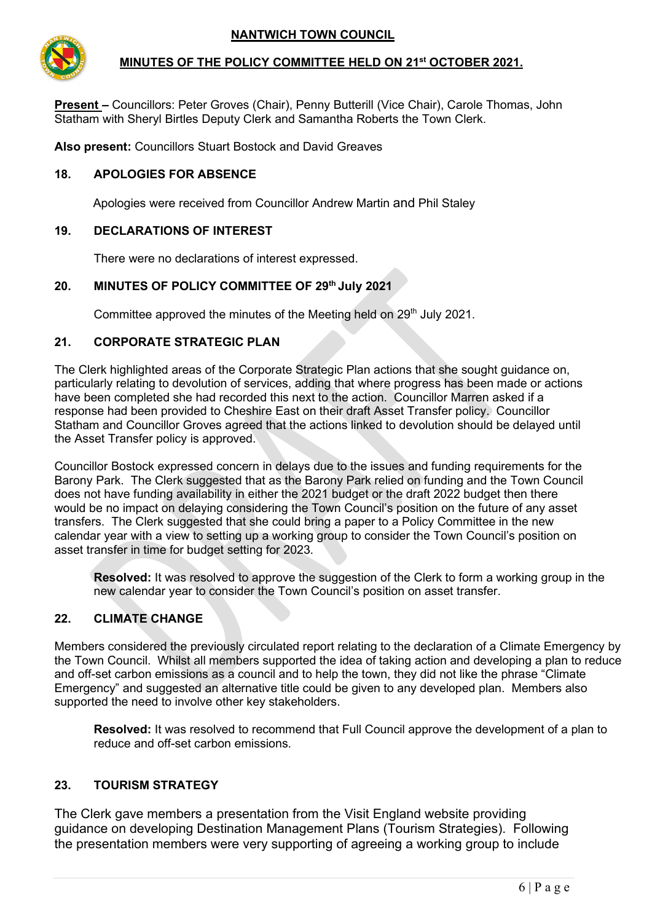

### **MINUTES OF THE POLICY COMMITTEE HELD ON 21st OCTOBER 2021.**

**Present –** Councillors: Peter Groves (Chair), Penny Butterill (Vice Chair), Carole Thomas, John Statham with Sheryl Birtles Deputy Clerk and Samantha Roberts the Town Clerk.

**Also present:** Councillors Stuart Bostock and David Greaves

### **18. APOLOGIES FOR ABSENCE**

Apologies were received from Councillor Andrew Martin and Phil Staley

### **19. DECLARATIONS OF INTEREST**

There were no declarations of interest expressed.

#### **20. MINUTES OF POLICY COMMITTEE OF 29th July 2021**

Committee approved the minutes of the Meeting held on 29<sup>th</sup> July 2021.

#### **21. CORPORATE STRATEGIC PLAN**

The Clerk highlighted areas of the Corporate Strategic Plan actions that she sought guidance on, particularly relating to devolution of services, adding that where progress has been made or actions have been completed she had recorded this next to the action. Councillor Marren asked if a response had been provided to Cheshire East on their draft Asset Transfer policy. Councillor Statham and Councillor Groves agreed that the actions linked to devolution should be delayed until the Asset Transfer policy is approved.

Councillor Bostock expressed concern in delays due to the issues and funding requirements for the Barony Park. The Clerk suggested that as the Barony Park relied on funding and the Town Council does not have funding availability in either the 2021 budget or the draft 2022 budget then there would be no impact on delaying considering the Town Council's position on the future of any asset transfers. The Clerk suggested that she could bring a paper to a Policy Committee in the new calendar year with a view to setting up a working group to consider the Town Council's position on asset transfer in time for budget setting for 2023.

**Resolved:** It was resolved to approve the suggestion of the Clerk to form a working group in the new calendar year to consider the Town Council's position on asset transfer.

## **22. CLIMATE CHANGE**

Members considered the previously circulated report relating to the declaration of a Climate Emergency by the Town Council. Whilst all members supported the idea of taking action and developing a plan to reduce and off-set carbon emissions as a council and to help the town, they did not like the phrase "Climate Emergency" and suggested an alternative title could be given to any developed plan. Members also supported the need to involve other key stakeholders.

**Resolved:** It was resolved to recommend that Full Council approve the development of a plan to reduce and off-set carbon emissions.

## **23. TOURISM STRATEGY**

The Clerk gave members a presentation from the Visit England website providing guidance on developing Destination Management Plans (Tourism Strategies). Following the presentation members were very supporting of agreeing a working group to include